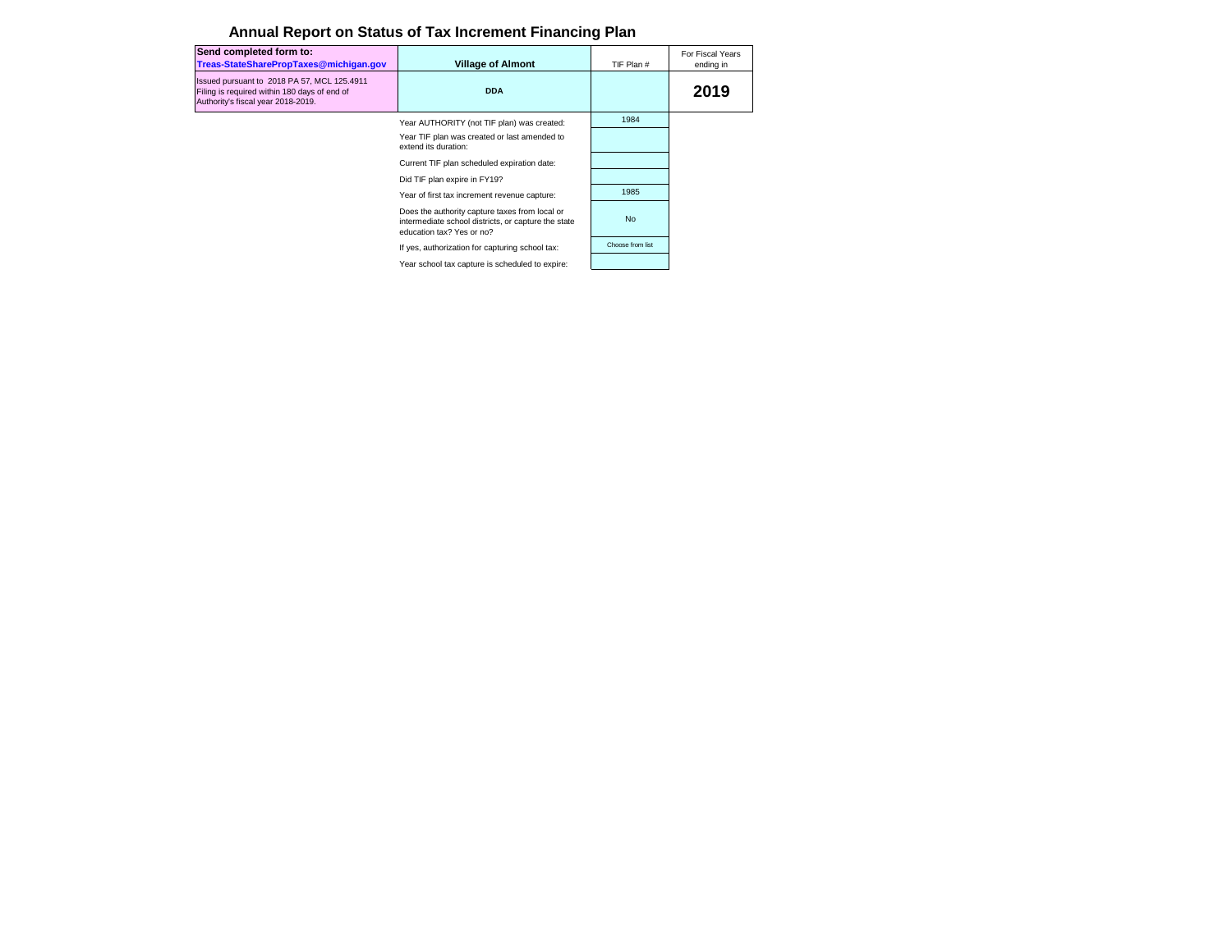| Send completed form to:<br>Treas-StateSharePropTaxes@michigan.gov                                                                 | <b>Village of Almont</b>                                                                                                           | TIF Plan #       | For Fiscal Years<br>ending in |
|-----------------------------------------------------------------------------------------------------------------------------------|------------------------------------------------------------------------------------------------------------------------------------|------------------|-------------------------------|
| Issued pursuant to 2018 PA 57, MCL 125.4911<br>Filing is required within 180 days of end of<br>Authority's fiscal year 2018-2019. | <b>DDA</b>                                                                                                                         |                  | 2019                          |
|                                                                                                                                   | Year AUTHORITY (not TIF plan) was created:                                                                                         | 1984             |                               |
|                                                                                                                                   | Year TIF plan was created or last amended to<br>extend its duration:                                                               |                  |                               |
|                                                                                                                                   | Current TIF plan scheduled expiration date:                                                                                        |                  |                               |
|                                                                                                                                   | Did TIF plan expire in FY19?                                                                                                       |                  |                               |
|                                                                                                                                   | Year of first tax increment revenue capture:                                                                                       | 1985             |                               |
|                                                                                                                                   | Does the authority capture taxes from local or<br>intermediate school districts, or capture the state<br>education tax? Yes or no? | <b>No</b>        |                               |
|                                                                                                                                   | If yes, authorization for capturing school tax:                                                                                    | Choose from list |                               |
|                                                                                                                                   | Year school tax capture is scheduled to expire:                                                                                    |                  |                               |

## **Annual Report on Status of Tax Increment Financing Plan**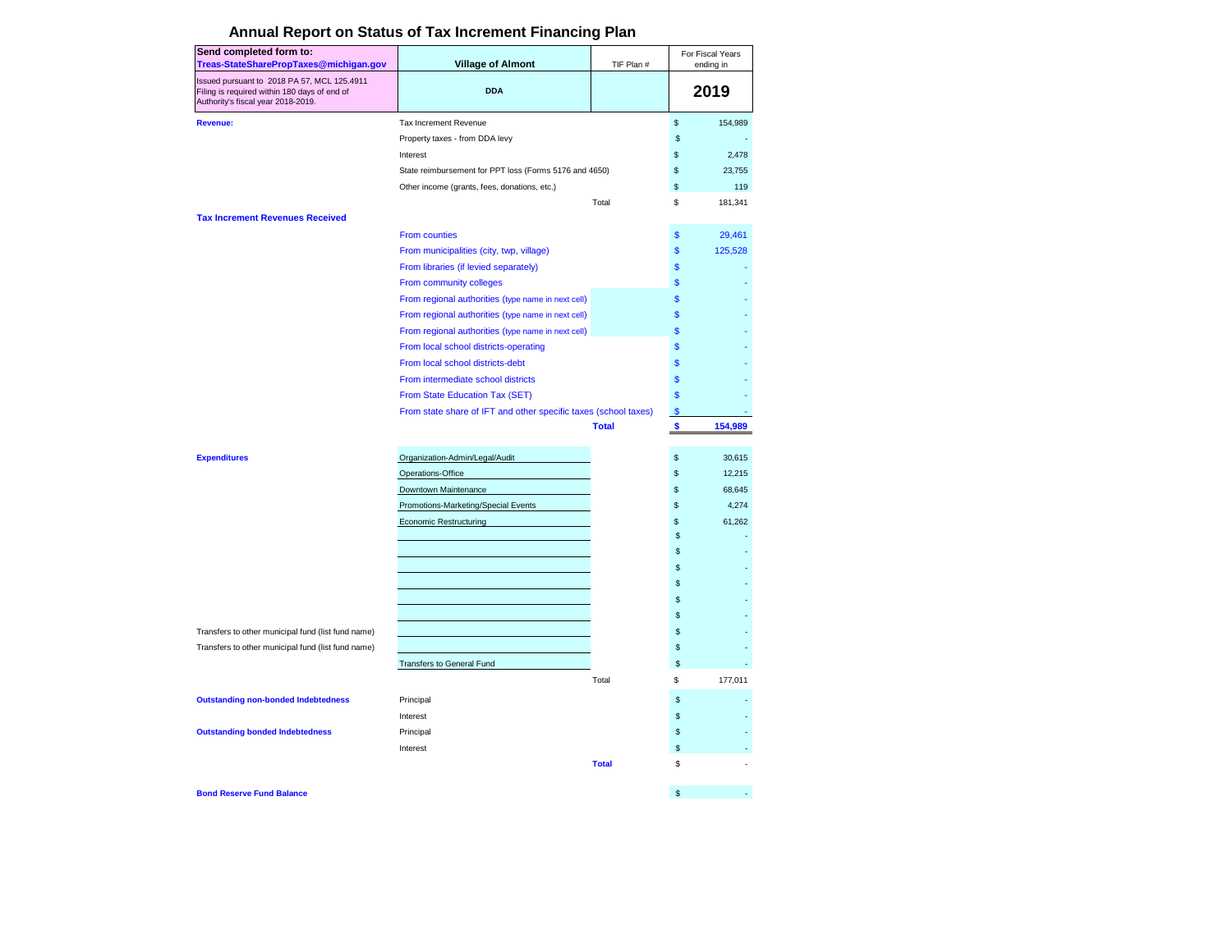| Send completed form to:                                                                                                           |                                                                 |              |              | For Fiscal Years |
|-----------------------------------------------------------------------------------------------------------------------------------|-----------------------------------------------------------------|--------------|--------------|------------------|
| Treas-StateSharePropTaxes@michigan.gov                                                                                            | <b>Village of Almont</b>                                        | TIF Plan #   |              | ending in        |
| Issued pursuant to 2018 PA 57, MCL 125.4911<br>Filing is required within 180 days of end of<br>Authority's fiscal year 2018-2019. | <b>DDA</b>                                                      |              |              | 2019             |
| <b>Revenue:</b>                                                                                                                   | Tax Increment Revenue                                           |              | \$           | 154,989          |
|                                                                                                                                   | Property taxes - from DDA levy                                  |              | \$           |                  |
|                                                                                                                                   | Interest                                                        |              | \$           | 2,478            |
|                                                                                                                                   | State reimbursement for PPT loss (Forms 5176 and 4650)          |              | \$           | 23,755           |
|                                                                                                                                   | Other income (grants, fees, donations, etc.)                    |              | \$           | 119              |
| <b>Tax Increment Revenues Received</b>                                                                                            |                                                                 | Total        | \$           | 181,341          |
|                                                                                                                                   | <b>From counties</b>                                            |              | \$           | 29,461           |
|                                                                                                                                   | From municipalities (city, twp, village)                        |              | \$           | 125,528          |
|                                                                                                                                   | From libraries (if levied separately)                           |              | \$           |                  |
|                                                                                                                                   | From community colleges                                         |              | \$           |                  |
|                                                                                                                                   | From regional authorities (type name in next cell)              |              | $\mathbf{s}$ |                  |
|                                                                                                                                   | From regional authorities (type name in next cell)              |              | \$           |                  |
|                                                                                                                                   | From regional authorities (type name in next cell)              |              | \$           |                  |
|                                                                                                                                   | From local school districts-operating                           |              | $\mathbf{s}$ |                  |
|                                                                                                                                   | From local school districts-debt                                |              | \$           |                  |
|                                                                                                                                   | From intermediate school districts                              |              | $\mathbf{s}$ |                  |
|                                                                                                                                   | From State Education Tax (SET)                                  |              | \$           |                  |
|                                                                                                                                   | From state share of IFT and other specific taxes (school taxes) |              | \$           |                  |
|                                                                                                                                   |                                                                 | <b>Total</b> | \$           | 154,989          |
| <b>Expenditures</b>                                                                                                               | Organization-Admin/Legal/Audit                                  |              | \$           | 30,615           |
|                                                                                                                                   | Operations-Office                                               |              | \$           | 12,215           |
|                                                                                                                                   | Downtown Maintenance                                            |              | \$           | 68,645           |
|                                                                                                                                   | Promotions-Marketing/Special Events                             |              | \$           | 4,274            |
|                                                                                                                                   | <b>Economic Restructuring</b>                                   |              | \$           | 61.262           |
|                                                                                                                                   |                                                                 |              | \$           |                  |
|                                                                                                                                   |                                                                 |              | \$           |                  |
|                                                                                                                                   |                                                                 |              | \$           |                  |
|                                                                                                                                   |                                                                 |              | \$           |                  |
|                                                                                                                                   |                                                                 |              | \$           |                  |
|                                                                                                                                   |                                                                 |              | \$           |                  |
| Transfers to other municipal fund (list fund name)                                                                                |                                                                 |              | \$           |                  |
| Transfers to other municipal fund (list fund name)                                                                                |                                                                 |              | \$           |                  |
|                                                                                                                                   | <b>Transfers to General Fund</b>                                |              | \$           |                  |
|                                                                                                                                   |                                                                 | Total        | \$           | 177,011          |
| <b>Outstanding non-bonded Indebtedness</b>                                                                                        | Principal                                                       |              | \$           |                  |
|                                                                                                                                   | Interest                                                        |              | \$           |                  |
| <b>Outstanding bonded Indebtedness</b>                                                                                            | Principal                                                       |              | \$           |                  |
|                                                                                                                                   | Interest                                                        |              | \$           |                  |
|                                                                                                                                   |                                                                 | <b>Total</b> | \$           |                  |
| <b>Bond Reserve Fund Balance</b>                                                                                                  |                                                                 |              | \$           |                  |

## **Annual Report on Status of Tax Increment Financing Plan**